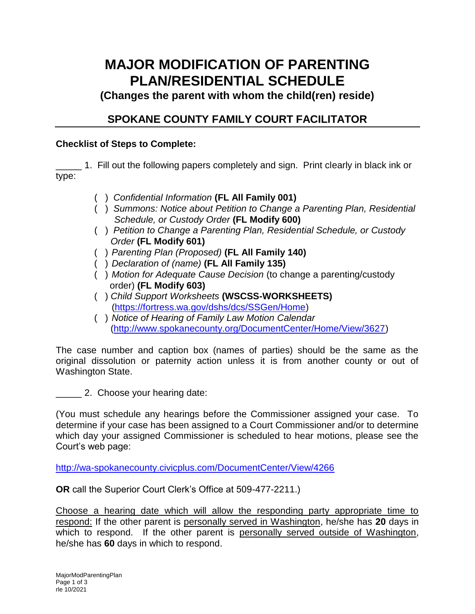## **MAJOR MODIFICATION OF PARENTING PLAN/RESIDENTIAL SCHEDULE**

**(Changes the parent with whom the child(ren) reside)**

## **SPOKANE COUNTY FAMILY COURT FACILITATOR**

## **Checklist of Steps to Complete:**

\_\_\_\_\_ 1. Fill out the following papers completely and sign. Print clearly in black ink or type:

- ( ) *Confidential Information* **(FL All Family 001)**
- ( ) *Summons: Notice about Petition to Change a Parenting Plan, Residential Schedule, or Custody Order* **(FL Modify 600)**
- ( ) *Petition to Change a Parenting Plan, Residential Schedule, or Custody Order* **(FL Modify 601)**
- ( ) *Parenting Plan (Proposed)* **(FL All Family 140)**
- ( ) *Declaration of (name)* **(FL All Family 135)**
- ( ) *Motion for Adequate Cause Decision* (to change a parenting/custody order) **(FL Modify 603)**
- ( ) *Child Support Worksheets* **(WSCSS-WORKSHEETS)** [\(https://fortress.wa.gov/dshs/dcs/SSGen/Home\)](https://fortress.wa.gov/dshs/dcs/SSGen/Home)
- ( ) *Notice of Hearing of Family Law Motion Calendar* [\(http://www.spokanecounty.org/DocumentCenter/Home/View/3627\)](http://www.spokanecounty.org/DocumentCenter/Home/View/3627)

The case number and caption box (names of parties) should be the same as the original dissolution or paternity action unless it is from another county or out of Washington State.

2. Choose your hearing date:

(You must schedule any hearings before the Commissioner assigned your case. To determine if your case has been assigned to a Court Commissioner and/or to determine which day your assigned Commissioner is scheduled to hear motions, please see the Court's web page:

<http://wa-spokanecounty.civicplus.com/DocumentCenter/View/4266>

**OR** call the Superior Court Clerk's Office at 509-477-2211.)

Choose a hearing date which will allow the responding party appropriate time to respond: If the other parent is personally served in Washington, he/she has **20** days in which to respond. If the other parent is personally served outside of Washington, he/she has **60** days in which to respond.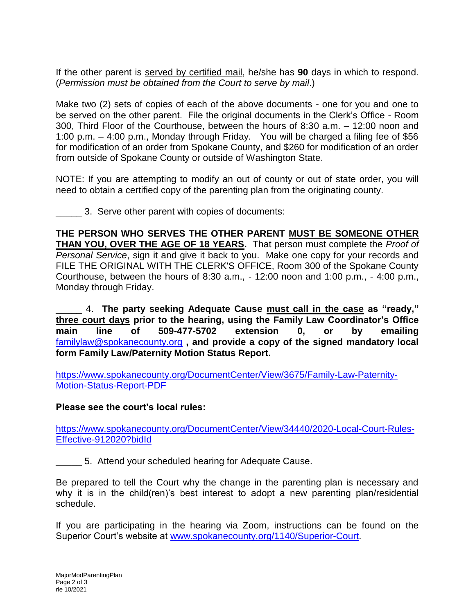If the other parent is served by certified mail, he/she has **90** days in which to respond. (*Permission must be obtained from the Court to serve by mail*.)

Make two (2) sets of copies of each of the above documents - one for you and one to be served on the other parent. File the original documents in the Clerk's Office - Room 300, Third Floor of the Courthouse, between the hours of 8:30 a.m. – 12:00 noon and 1:00 p.m. – 4:00 p.m., Monday through Friday. You will be charged a filing fee of \$56 for modification of an order from Spokane County, and \$260 for modification of an order from outside of Spokane County or outside of Washington State.

NOTE: If you are attempting to modify an out of county or out of state order, you will need to obtain a certified copy of the parenting plan from the originating county.

3. Serve other parent with copies of documents:

**THE PERSON WHO SERVES THE OTHER PARENT MUST BE SOMEONE OTHER THAN YOU, OVER THE AGE OF 18 YEARS.** That person must complete the *Proof of Personal Service*, sign it and give it back to you. Make one copy for your records and FILE THE ORIGINAL WITH THE CLERK'S OFFICE, Room 300 of the Spokane County Courthouse, between the hours of 8:30 a.m., - 12:00 noon and 1:00 p.m., - 4:00 p.m., Monday through Friday.

\_\_\_\_\_ 4. **The party seeking Adequate Cause must call in the case as "ready," three court days prior to the hearing, using the Family Law Coordinator's Office main line of 509-477-5702 extension 0, or by emailing**  [familylaw@spokanecounty.org](mailto:familylaw@spokanecounty.org) **, and provide a copy of the signed mandatory local form Family Law/Paternity Motion Status Report.**

[https://www.spokanecounty.org/DocumentCenter/View/3675/Family-Law-Paternity-](https://www.spokanecounty.org/DocumentCenter/View/3675/Family-Law-Paternity-Motion-Status-Report-PDF)[Motion-Status-Report-PDF](https://www.spokanecounty.org/DocumentCenter/View/3675/Family-Law-Paternity-Motion-Status-Report-PDF) 

**Please see the court's local rules:** 

[https://www.spokanecounty.org/DocumentCenter/View/34440/2020-Local-Court-Rules-](https://www.spokanecounty.org/DocumentCenter/View/34440/2020-Local-Court-Rules-Effective-912020?bidId)[Effective-912020?bidId](https://www.spokanecounty.org/DocumentCenter/View/34440/2020-Local-Court-Rules-Effective-912020?bidId)

5. Attend your scheduled hearing for Adequate Cause.

Be prepared to tell the Court why the change in the parenting plan is necessary and why it is in the child(ren)'s best interest to adopt a new parenting plan/residential schedule.

If you are participating in the hearing via Zoom, instructions can be found on the Superior Court's website at [www.spokanecounty.org/1140/Superior-Court.](http://www.spokanecounty.org/1140/Superior-Court)